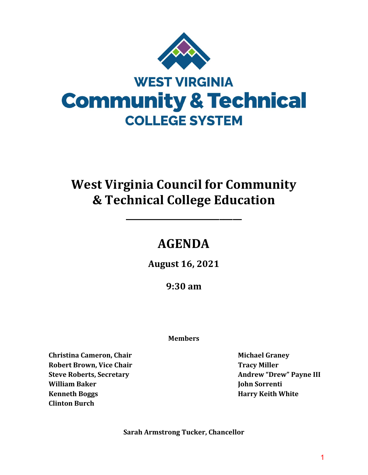

# **West Virginia Council for Community & Technical College Education**

## **AGENDA**

**\_\_\_\_\_\_\_\_\_\_\_\_\_\_\_\_\_\_\_\_\_\_\_\_\_\_**

**August 16, 2021**

**9:30 am**

#### **Members**

**Christina Cameron, Chair Robert Brown, Vice Chair Steve Roberts, Secretary William Baker Kenneth Boggs Clinton Burch**

**Michael Graney Tracy Miller Andrew "Drew" Payne III John Sorrenti Harry Keith White**

**Sarah Armstrong Tucker, Chancellor**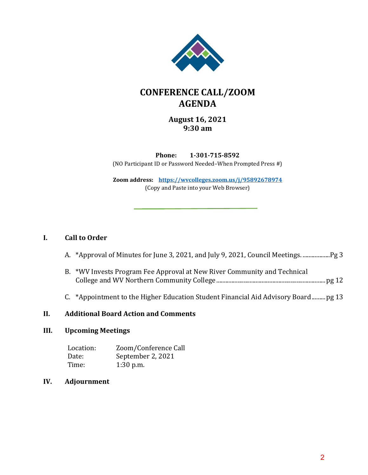

### **CONFERENCE CALL/ZOOM AGENDA**

#### **August 16, 2021 9:30 am**

**Phone: 1-301-715-8592** (NO Participant ID or Password Needed–When Prompted Press #)

**Zoom address: <https://wvcolleges.zoom.us/j/95892678974>** (Copy and Paste into your Web Browser)

#### **I. Call to Order**

|  | A. *Approval of Minutes for June 3, 2021, and July 9, 2021, Council Meetings. |  |  |  |  |
|--|-------------------------------------------------------------------------------|--|--|--|--|
|--|-------------------------------------------------------------------------------|--|--|--|--|

- B. \*WV Invests Program Fee Approval at New River Community and Technical College and WV Northern Community College ........................................................................pg 12
- C. \*Appointment to the Higher Education Student Financial Aid Advisory Board.........pg 13

#### **II. Additional Board Action and Comments**

#### **III. Upcoming Meetings**

Location: Zoom/Conference Call<br>Date: September 2, 2021 Date: September 2, 2021<br>Time: 1:30 p.m.  $1:30$  p.m.

#### IV. **IV. Adjournment**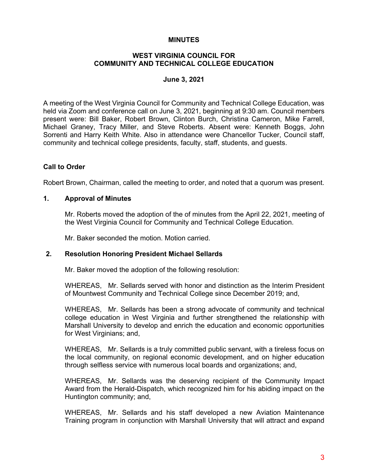#### **MINUTES**

#### **WEST VIRGINIA COUNCIL FOR COMMUNITY AND TECHNICAL COLLEGE EDUCATION**

#### **June 3, 2021**

A meeting of the West Virginia Council for Community and Technical College Education, was held via Zoom and conference call on June 3, 2021, beginning at 9:30 am. Council members present were: Bill Baker, Robert Brown, Clinton Burch, Christina Cameron, Mike Farrell, Michael Graney, Tracy Miller, and Steve Roberts. Absent were: Kenneth Boggs, John Sorrenti and Harry Keith White. Also in attendance were Chancellor Tucker, Council staff, community and technical college presidents, faculty, staff, students, and guests.

#### **Call to Order**

Robert Brown, Chairman, called the meeting to order, and noted that a quorum was present.

#### **1. Approval of Minutes**

Mr. Roberts moved the adoption of the of minutes from the April 22, 2021, meeting of the West Virginia Council for Community and Technical College Education.

Mr. Baker seconded the motion. Motion carried.

#### **2. Resolution Honoring President Michael Sellards**

Mr. Baker moved the adoption of the following resolution:

WHEREAS, Mr. Sellards served with honor and distinction as the Interim President of Mountwest Community and Technical College since December 2019; and,

WHEREAS, Mr. Sellards has been a strong advocate of community and technical college education in West Virginia and further strengthened the relationship with Marshall University to develop and enrich the education and economic opportunities for West Virginians; and,

WHEREAS, Mr. Sellards is a truly committed public servant, with a tireless focus on the local community, on regional economic development, and on higher education through selfless service with numerous local boards and organizations; and,

WHEREAS, Mr. Sellards was the deserving recipient of the Community Impact Award from the Herald-Dispatch, which recognized him for his abiding impact on the Huntington community; and,

WHEREAS, Mr. Sellards and his staff developed a new Aviation Maintenance Training program in conjunction with Marshall University that will attract and expand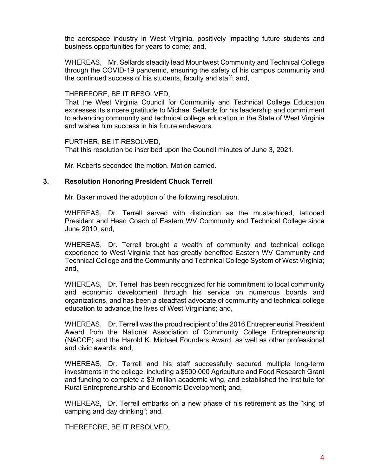the aerospace industry in West Virginia, positively impacting future students and business opportunities for years to come; and,

WHEREAS, Mr. Sellards steadily lead Mountwest Community and Technical College through the COVID-19 pandemic, ensuring the safety of his campus community and the continued success of his students, faculty and staff; and,

#### THEREFORE, BE IT RESOLVED,

That the West Virginia Council for Community and Technical College Education expresses its sincere gratitude to Michael Sellards for his leadership and commitment to advancing community and technical college education in the State of West Virginia and wishes him success in his future endeavors.

FURTHER, BE IT RESOLVED,

That this resolution be inscribed upon the Council minutes of June 3, 2021.

Mr. Roberts seconded the motion. Motion carried.

#### **3. Resolution Honoring President Chuck Terrell**

Mr. Baker moved the adoption of the following resolution.

WHEREAS, Dr. Terrell served with distinction as the mustachioed, tattooed President and Head Coach of Eastern WV Community and Technical College since June 2010; and,

WHEREAS, Dr. Terrell brought a wealth of community and technical college experience to West Virginia that has greatly benefited Eastern WV Community and Technical College and the Community and Technical College System of West Virginia; and,

WHEREAS, Dr. Terrell has been recognized for his commitment to local community and economic development through his service on numerous boards and organizations, and has been a steadfast advocate of community and technical college education to advance the lives of West Virginians; and,

WHEREAS, Dr. Terrell was the proud recipient of the 2016 Entrepreneurial President Award from the National Association of Community College Entrepreneurship (NACCE) and the Harold K. Michael Founders Award, as well as other professional and civic awards; and,

WHEREAS, Dr. Terrell and his staff successfully secured multiple long-term investments in the college, including a \$500,000 Agriculture and Food Research Grant and funding to complete a \$3 million academic wing, and established the Institute for Rural Entrepreneurship and Economic Development; and,

WHEREAS, Dr. Terrell embarks on a new phase of his retirement as the "king of camping and day drinking"; and,

THEREFORE, BE IT RESOLVED,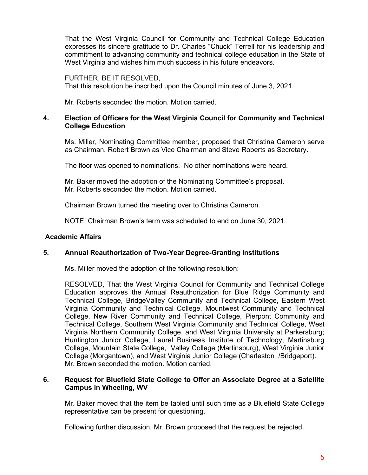That the West Virginia Council for Community and Technical College Education expresses its sincere gratitude to Dr. Charles "Chuck" Terrell for his leadership and commitment to advancing community and technical college education in the State of West Virginia and wishes him much success in his future endeavors.

FURTHER, BE IT RESOLVED, That this resolution be inscribed upon the Council minutes of June 3, 2021.

Mr. Roberts seconded the motion. Motion carried.

#### **4. Election of Officers for the West Virginia Council for Community and Technical College Education**

 Ms. Miller, Nominating Committee member, proposed that Christina Cameron serve as Chairman, Robert Brown as Vice Chairman and Steve Roberts as Secretary.

The floor was opened to nominations. No other nominations were heard.

Mr. Baker moved the adoption of the Nominating Committee's proposal. Mr. Roberts seconded the motion. Motion carried.

Chairman Brown turned the meeting over to Christina Cameron.

NOTE: Chairman Brown's term was scheduled to end on June 30, 2021.

#### **Academic Affairs**

#### **5. Annual Reauthorization of Two-Year Degree-Granting Institutions**

Ms. Miller moved the adoption of the following resolution:

RESOLVED, That the West Virginia Council for Community and Technical College Education approves the Annual Reauthorization for Blue Ridge Community and Technical College, BridgeValley Community and Technical College, Eastern West Virginia Community and Technical College, Mountwest Community and Technical College, New River Community and Technical College, Pierpont Community and Technical College, Southern West Virginia Community and Technical College, West Virginia Northern Community College, and West Virginia University at Parkersburg; Huntington Junior College, Laurel Business Institute of Technology, Martinsburg College, Mountain State College, Valley College (Martinsburg), West Virginia Junior College (Morgantown), and West Virginia Junior College (Charleston /Bridgeport). Mr. Brown seconded the motion. Motion carried.

#### **6. Request for Bluefield State College to Offer an Associate Degree at a Satellite Campus in Wheeling, WV**

 Mr. Baker moved that the item be tabled until such time as a Bluefield State College representative can be present for questioning.

Following further discussion, Mr. Brown proposed that the request be rejected.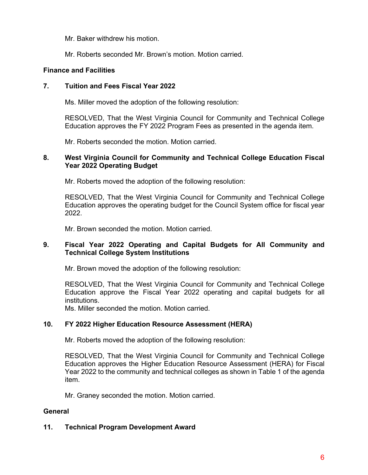- Mr. Baker withdrew his motion.
- Mr. Roberts seconded Mr. Brown's motion. Motion carried.

#### **Finance and Facilities**

#### **7. Tuition and Fees Fiscal Year 2022**

Ms. Miller moved the adoption of the following resolution:

 RESOLVED, That the West Virginia Council for Community and Technical College Education approves the FY 2022 Program Fees as presented in the agenda item.

Mr. Roberts seconded the motion. Motion carried.

#### **8. West Virginia Council for Community and Technical College Education Fiscal Year 2022 Operating Budget**

Mr. Roberts moved the adoption of the following resolution:

 RESOLVED, That the West Virginia Council for Community and Technical College Education approves the operating budget for the Council System office for fiscal year 2022.

Mr. Brown seconded the motion. Motion carried.

#### **9. Fiscal Year 2022 Operating and Capital Budgets for All Community and Technical College System Institutions**

Mr. Brown moved the adoption of the following resolution:

 RESOLVED, That the West Virginia Council for Community and Technical College Education approve the Fiscal Year 2022 operating and capital budgets for all institutions.

Ms. Miller seconded the motion. Motion carried.

#### **10. FY 2022 Higher Education Resource Assessment (HERA)**

Mr. Roberts moved the adoption of the following resolution:

 RESOLVED, That the West Virginia Council for Community and Technical College Education approves the Higher Education Resource Assessment (HERA) for Fiscal Year 2022 to the community and technical colleges as shown in Table 1 of the agenda item.

Mr. Graney seconded the motion. Motion carried.

#### **General**

#### **11. Technical Program Development Award**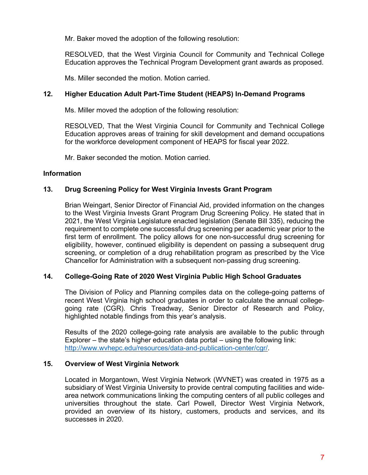Mr. Baker moved the adoption of the following resolution:

RESOLVED, that the West Virginia Council for Community and Technical College Education approves the Technical Program Development grant awards as proposed.

Ms. Miller seconded the motion. Motion carried.

#### **12. Higher Education Adult Part-Time Student (HEAPS) In-Demand Programs**

Ms. Miller moved the adoption of the following resolution:

 RESOLVED, That the West Virginia Council for Community and Technical College Education approves areas of training for skill development and demand occupations for the workforce development component of HEAPS for fiscal year 2022.

Mr. Baker seconded the motion. Motion carried.

#### **Information**

#### **13. Drug Screening Policy for West Virginia Invests Grant Program**

Brian Weingart, Senior Director of Financial Aid, provided information on the changes to the West Virginia Invests Grant Program Drug Screening Policy. He stated that in 2021, the West Virginia Legislature enacted legislation (Senate Bill 335), reducing the requirement to complete one successful drug screening per academic year prior to the first term of enrollment. The policy allows for one non-successful drug screening for eligibility, however, continued eligibility is dependent on passing a subsequent drug screening, or completion of a drug rehabilitation program as prescribed by the Vice Chancellor for Administration with a subsequent non-passing drug screening.

#### **14. College-Going Rate of 2020 West Virginia Public High School Graduates**

The Division of Policy and Planning compiles data on the college-going patterns of recent West Virginia high school graduates in order to calculate the annual collegegoing rate (CGR). Chris Treadway, Senior Director of Research and Policy, highlighted notable findings from this year's analysis.

Results of the 2020 college-going rate analysis are available to the public through Explorer – the state's higher education data portal – using the following link: [http://www.wvhepc.edu/resources/data-and-publication-center/cgr/.](http://www.wvhepc.edu/resources/data-and-publication-center/cgr/)

#### **15. Overview of West Virginia Network**

Located in Morgantown, West Virginia Network (WVNET) was created in 1975 as a subsidiary of West Virginia University to provide central computing facilities and widearea network communications linking the computing centers of all public colleges and universities throughout the state. Carl Powell, Director West Virginia Network, provided an overview of its history, customers, products and services, and its successes in 2020.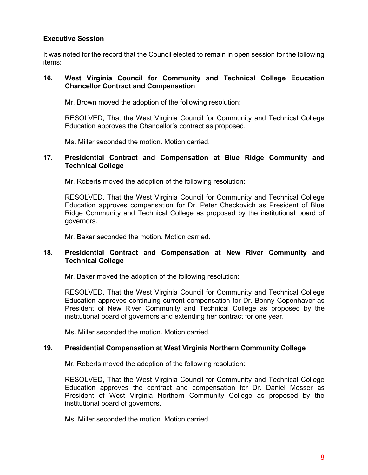#### **Executive Session**

It was noted for the record that the Council elected to remain in open session for the following items:

#### **16. West Virginia Council for Community and Technical College Education Chancellor Contract and Compensation**

Mr. Brown moved the adoption of the following resolution:

 RESOLVED, That the West Virginia Council for Community and Technical College Education approves the Chancellor's contract as proposed.

Ms. Miller seconded the motion. Motion carried.

#### **17. Presidential Contract and Compensation at Blue Ridge Community and Technical College**

Mr. Roberts moved the adoption of the following resolution:

 RESOLVED, That the West Virginia Council for Community and Technical College Education approves compensation for Dr. Peter Checkovich as President of Blue Ridge Community and Technical College as proposed by the institutional board of governors.

Mr. Baker seconded the motion. Motion carried.

#### **18. Presidential Contract and Compensation at New River Community and Technical College**

Mr. Baker moved the adoption of the following resolution:

 RESOLVED, That the West Virginia Council for Community and Technical College Education approves continuing current compensation for Dr. Bonny Copenhaver as President of New River Community and Technical College as proposed by the institutional board of governors and extending her contract for one year.

Ms. Miller seconded the motion. Motion carried.

#### **19. Presidential Compensation at West Virginia Northern Community College**

Mr. Roberts moved the adoption of the following resolution:

 RESOLVED, That the West Virginia Council for Community and Technical College Education approves the contract and compensation for Dr. Daniel Mosser as President of West Virginia Northern Community College as proposed by the institutional board of governors.

Ms. Miller seconded the motion. Motion carried.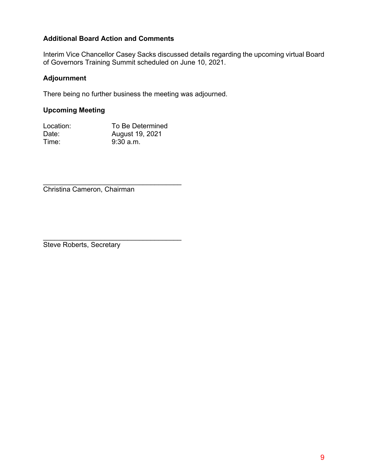#### **Additional Board Action and Comments**

Interim Vice Chancellor Casey Sacks discussed details regarding the upcoming virtual Board of Governors Training Summit scheduled on June 10, 2021.

#### **Adjournment**

There being no further business the meeting was adjourned.

#### **Upcoming Meeting**

| Location: | To Be Determined |
|-----------|------------------|
| Date:     | August 19, 2021  |
| Time:     | $9:30$ a.m.      |

\_\_\_\_\_\_\_\_\_\_\_\_\_\_\_\_\_\_\_\_\_\_\_\_\_\_\_\_\_\_\_\_\_\_\_\_

\_\_\_\_\_\_\_\_\_\_\_\_\_\_\_\_\_\_\_\_\_\_\_\_\_\_\_\_\_\_\_\_\_\_\_\_ Christina Cameron, Chairman

Steve Roberts, Secretary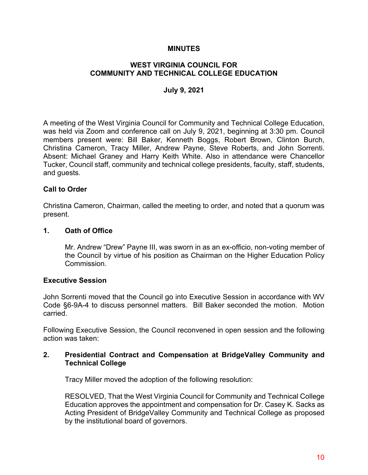#### **MINUTES**

#### **WEST VIRGINIA COUNCIL FOR COMMUNITY AND TECHNICAL COLLEGE EDUCATION**

#### **July 9, 2021**

A meeting of the West Virginia Council for Community and Technical College Education, was held via Zoom and conference call on July 9, 2021, beginning at 3:30 pm. Council members present were: Bill Baker, Kenneth Boggs, Robert Brown, Clinton Burch, Christina Cameron, Tracy Miller, Andrew Payne, Steve Roberts, and John Sorrenti. Absent: Michael Graney and Harry Keith White. Also in attendance were Chancellor Tucker, Council staff, community and technical college presidents, faculty, staff, students, and guests.

#### **Call to Order**

Christina Cameron, Chairman, called the meeting to order, and noted that a quorum was present.

#### **1. Oath of Office**

Mr. Andrew "Drew" Payne III, was sworn in as an ex-officio, non-voting member of the Council by virtue of his position as Chairman on the Higher Education Policy Commission.

#### **Executive Session**

John Sorrenti moved that the Council go into Executive Session in accordance with WV Code §6-9A-4 to discuss personnel matters. Bill Baker seconded the motion. Motion carried.

Following Executive Session, the Council reconvened in open session and the following action was taken:

#### **2. Presidential Contract and Compensation at BridgeValley Community and Technical College**

Tracy Miller moved the adoption of the following resolution:

RESOLVED, That the West Virginia Council for Community and Technical College Education approves the appointment and compensation for Dr. Casey K. Sacks as Acting President of BridgeValley Community and Technical College as proposed by the institutional board of governors.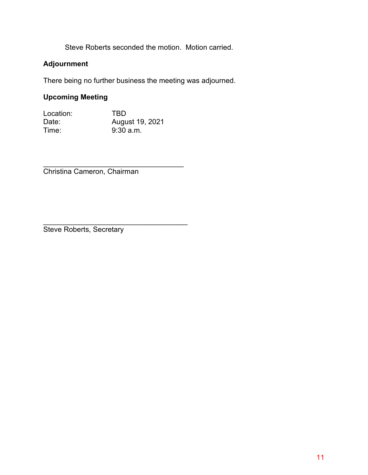Steve Roberts seconded the motion. Motion carried.

#### **Adjournment**

There being no further business the meeting was adjourned.

### **Upcoming Meeting**

Location: TBD<br>Date: Augu August 19, 2021<br>9:30 a.m. Time:

\_\_\_\_\_\_\_\_\_\_\_\_\_\_\_\_\_\_\_\_\_\_\_\_\_\_\_\_\_\_\_\_\_\_\_ Christina Cameron, Chairman

\_\_\_\_\_\_\_\_\_\_\_\_\_\_\_\_\_\_\_\_\_\_\_\_\_\_\_\_\_\_\_\_\_\_\_\_ Steve Roberts, Secretary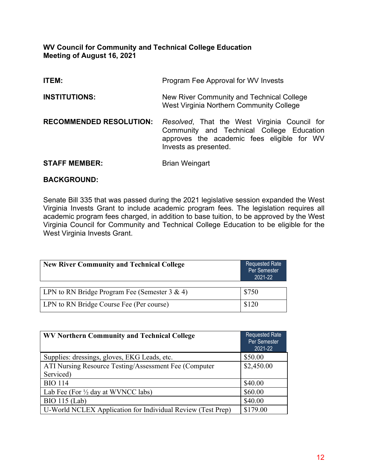#### **WV Council for Community and Technical College Education Meeting of August 16, 2021**

| <b>ITEM:</b>                   | Program Fee Approval for WV Invests                                                                                                                              |
|--------------------------------|------------------------------------------------------------------------------------------------------------------------------------------------------------------|
| <b>INSTITUTIONS:</b>           | New River Community and Technical College<br>West Virginia Northern Community College                                                                            |
| <b>RECOMMENDED RESOLUTION:</b> | Resolved, That the West Virginia Council for<br>Community and Technical College Education<br>approves the academic fees eligible for WV<br>Invests as presented. |
| <b>STAFF MEMBER:</b>           | <b>Brian Weingart</b>                                                                                                                                            |

#### **BACKGROUND:**

Senate Bill 335 that was passed during the 2021 legislative session expanded the West Virginia Invests Grant to include academic program fees. The legislation requires all academic program fees charged, in addition to base tuition, to be approved by the West Virginia Council for Community and Technical College Education to be eligible for the West Virginia Invests Grant.

| <b>New River Community and Technical College</b> | Requested Rate<br>Per Semester<br>2021-22 |
|--------------------------------------------------|-------------------------------------------|
|                                                  |                                           |
| LLPN to RN Bridge Program Fee (Semester 3 & 4)   | \$750                                     |

| LPN to RN Bridge Program Fee (Semester 3 & 4) | \$750 |
|-----------------------------------------------|-------|
| LPN to RN Bridge Course Fee (Per course)      | \$120 |

| WV Northern Community and Technical College                 | <b>Requested Rate</b><br>Per Semester<br>2021-22 |
|-------------------------------------------------------------|--------------------------------------------------|
| Supplies: dressings, gloves, EKG Leads, etc.                | \$50.00                                          |
| ATI Nursing Resource Testing/Assessment Fee (Computer)      | \$2,450.00                                       |
| Serviced)                                                   |                                                  |
| <b>BIO 114</b>                                              | \$40.00                                          |
| Lab Fee (For $\frac{1}{2}$ day at WVNCC labs)               | \$60.00                                          |
| <b>BIO</b> 115 (Lab)                                        | \$40.00                                          |
| U-World NCLEX Application for Individual Review (Test Prep) | \$179.00                                         |